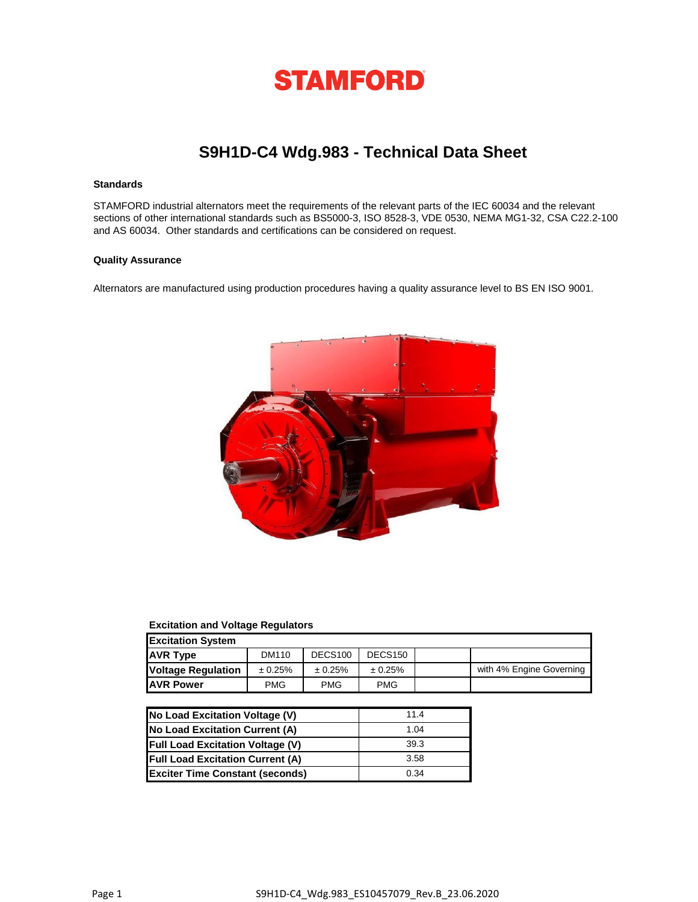

# **S9H1D-C4 Wdg.983 - Technical Data Sheet**

# **Standards**

STAMFORD industrial alternators meet the requirements of the relevant parts of the IEC 60034 and the relevant sections of other international standards such as BS5000-3, ISO 8528-3, VDE 0530, NEMA MG1-32, CSA C22.2-100 and AS 60034. Other standards and certifications can be considered on request.

### **Quality Assurance**

Alternators are manufactured using production procedures having a quality assurance level to BS EN ISO 9001.



### **Excitation and Voltage Regulators**

| <b>Excitation System</b>                                               |            |            |            |  |                          |  |  |  |
|------------------------------------------------------------------------|------------|------------|------------|--|--------------------------|--|--|--|
| <b>AVR Type</b><br>DECS <sub>100</sub><br>DECS <sub>150</sub><br>DM110 |            |            |            |  |                          |  |  |  |
| <b>Voltage Regulation</b>                                              | ± 0.25%    | ± 0.25%    | ± 0.25%    |  | with 4% Engine Governing |  |  |  |
| <b>JAVR Power</b>                                                      | <b>PMG</b> | <b>PMG</b> | <b>PMG</b> |  |                          |  |  |  |

| No Load Excitation Voltage (V)          | 11.4 |
|-----------------------------------------|------|
| No Load Excitation Current (A)          | 1.04 |
| <b>Full Load Excitation Voltage (V)</b> | 39.3 |
| <b>Full Load Excitation Current (A)</b> | 3.58 |
| <b>Exciter Time Constant (seconds)</b>  | 0.34 |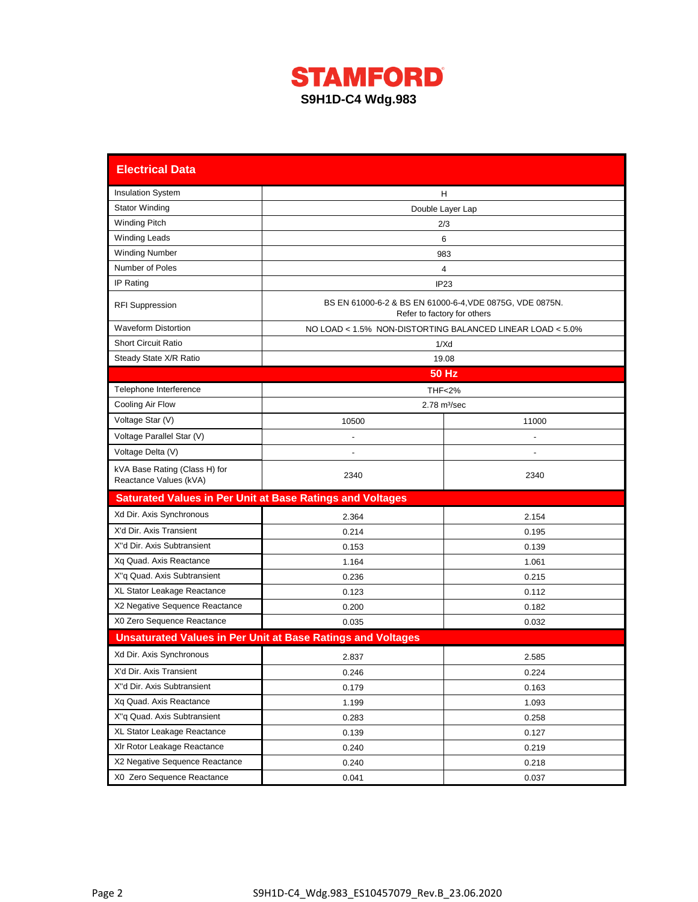

| <b>Electrical Data</b>                                           |                                                                    |                                                           |  |  |  |  |  |
|------------------------------------------------------------------|--------------------------------------------------------------------|-----------------------------------------------------------|--|--|--|--|--|
| <b>Insulation System</b>                                         |                                                                    | Н                                                         |  |  |  |  |  |
| <b>Stator Winding</b>                                            | Double Layer Lap                                                   |                                                           |  |  |  |  |  |
| <b>Winding Pitch</b>                                             |                                                                    | 2/3                                                       |  |  |  |  |  |
| <b>Winding Leads</b>                                             |                                                                    | 6                                                         |  |  |  |  |  |
| <b>Winding Number</b>                                            |                                                                    | 983                                                       |  |  |  |  |  |
| Number of Poles                                                  |                                                                    | 4                                                         |  |  |  |  |  |
| IP Rating                                                        |                                                                    | IP <sub>23</sub>                                          |  |  |  |  |  |
| <b>RFI Suppression</b>                                           | BS EN 61000-6-2 & BS EN 61000-6-4, VDE 0875G, VDE 0875N.           | Refer to factory for others                               |  |  |  |  |  |
| <b>Waveform Distortion</b>                                       |                                                                    | NO LOAD < 1.5% NON-DISTORTING BALANCED LINEAR LOAD < 5.0% |  |  |  |  |  |
| <b>Short Circuit Ratio</b>                                       |                                                                    | 1/Xd                                                      |  |  |  |  |  |
| Steady State X/R Ratio                                           |                                                                    | 19.08                                                     |  |  |  |  |  |
|                                                                  |                                                                    | <b>50 Hz</b>                                              |  |  |  |  |  |
| Telephone Interference                                           |                                                                    | <b>THF&lt;2%</b>                                          |  |  |  |  |  |
| Cooling Air Flow                                                 |                                                                    | $2.78$ m $\frac{3}{sec}$                                  |  |  |  |  |  |
| Voltage Star (V)                                                 | 10500                                                              | 11000                                                     |  |  |  |  |  |
| Voltage Parallel Star (V)                                        |                                                                    |                                                           |  |  |  |  |  |
| Voltage Delta (V)                                                |                                                                    |                                                           |  |  |  |  |  |
| kVA Base Rating (Class H) for<br>Reactance Values (kVA)          | 2340                                                               | 2340                                                      |  |  |  |  |  |
| <b>Saturated Values in Per Unit at Base Ratings and Voltages</b> |                                                                    |                                                           |  |  |  |  |  |
| Xd Dir. Axis Synchronous                                         | 2.364                                                              | 2.154                                                     |  |  |  |  |  |
| X'd Dir. Axis Transient                                          | 0.214                                                              | 0.195                                                     |  |  |  |  |  |
| X"d Dir. Axis Subtransient                                       | 0.153                                                              | 0.139                                                     |  |  |  |  |  |
| Xq Quad. Axis Reactance                                          | 1.164                                                              | 1.061                                                     |  |  |  |  |  |
| X"q Quad. Axis Subtransient                                      | 0.236                                                              | 0.215                                                     |  |  |  |  |  |
| XL Stator Leakage Reactance                                      | 0.123                                                              | 0.112                                                     |  |  |  |  |  |
| X2 Negative Sequence Reactance                                   | 0.200                                                              | 0.182                                                     |  |  |  |  |  |
| X0 Zero Sequence Reactance                                       | 0.035                                                              | 0.032                                                     |  |  |  |  |  |
|                                                                  | <b>Unsaturated Values in Per Unit at Base Ratings and Voltages</b> |                                                           |  |  |  |  |  |
| Xd Dir. Axis Synchronous                                         | 2.837                                                              | 2.585                                                     |  |  |  |  |  |
| X'd Dir. Axis Transient                                          | 0.246                                                              | 0.224                                                     |  |  |  |  |  |
| X"d Dir. Axis Subtransient                                       | 0.179                                                              | 0.163                                                     |  |  |  |  |  |
| Xq Quad. Axis Reactance                                          | 1.199                                                              | 1.093                                                     |  |  |  |  |  |
| X"q Quad. Axis Subtransient                                      | 0.283                                                              | 0.258                                                     |  |  |  |  |  |
| XL Stator Leakage Reactance                                      | 0.139                                                              | 0.127                                                     |  |  |  |  |  |
| XIr Rotor Leakage Reactance                                      | 0.240                                                              | 0.219                                                     |  |  |  |  |  |
| X2 Negative Sequence Reactance                                   | 0.240                                                              | 0.218                                                     |  |  |  |  |  |
| X0 Zero Sequence Reactance                                       | 0.041                                                              | 0.037                                                     |  |  |  |  |  |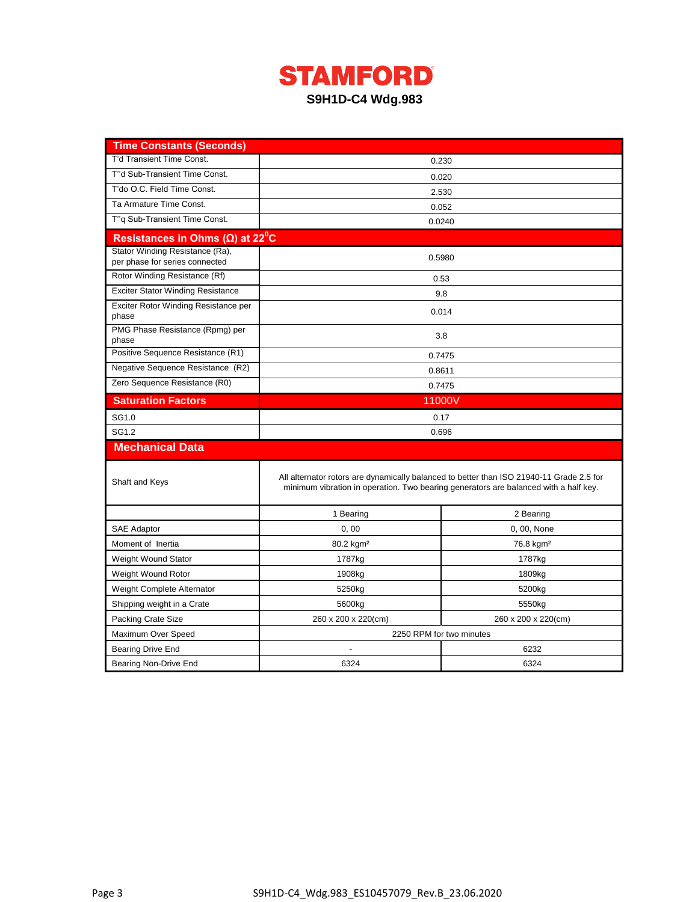

| <b>Time Constants (Seconds)</b>                                   |                                                                                          |                                                                                      |  |  |  |  |
|-------------------------------------------------------------------|------------------------------------------------------------------------------------------|--------------------------------------------------------------------------------------|--|--|--|--|
| T'd Transient Time Const.                                         | 0.230                                                                                    |                                                                                      |  |  |  |  |
| T"d Sub-Transient Time Const.                                     | 0.020                                                                                    |                                                                                      |  |  |  |  |
| T'do O.C. Field Time Const.                                       | 2.530                                                                                    |                                                                                      |  |  |  |  |
| Ta Armature Time Const.                                           | 0.052                                                                                    |                                                                                      |  |  |  |  |
| T"q Sub-Transient Time Const.                                     |                                                                                          | 0.0240                                                                               |  |  |  |  |
| Resistances in Ohms ( $\Omega$ ) at 22 <sup>°</sup> C             |                                                                                          |                                                                                      |  |  |  |  |
| Stator Winding Resistance (Ra),<br>per phase for series connected | 0.5980                                                                                   |                                                                                      |  |  |  |  |
| Rotor Winding Resistance (Rf)                                     |                                                                                          | 0.53                                                                                 |  |  |  |  |
| <b>Exciter Stator Winding Resistance</b>                          |                                                                                          | 9.8                                                                                  |  |  |  |  |
| Exciter Rotor Winding Resistance per<br>phase                     |                                                                                          | 0.014                                                                                |  |  |  |  |
| PMG Phase Resistance (Rpmg) per<br>phase                          |                                                                                          | 3.8                                                                                  |  |  |  |  |
| Positive Sequence Resistance (R1)                                 |                                                                                          | 0.7475                                                                               |  |  |  |  |
| Negative Sequence Resistance (R2)                                 | 0.8611                                                                                   |                                                                                      |  |  |  |  |
| Zero Sequence Resistance (R0)                                     |                                                                                          | 0.7475                                                                               |  |  |  |  |
| <b>Saturation Factors</b>                                         | 11000V                                                                                   |                                                                                      |  |  |  |  |
| SG1.0                                                             | 0.17                                                                                     |                                                                                      |  |  |  |  |
| SG1.2                                                             | 0.696                                                                                    |                                                                                      |  |  |  |  |
| <b>Mechanical Data</b>                                            |                                                                                          |                                                                                      |  |  |  |  |
| Shaft and Keys                                                    | All alternator rotors are dynamically balanced to better than ISO 21940-11 Grade 2.5 for | minimum vibration in operation. Two bearing generators are balanced with a half key. |  |  |  |  |
|                                                                   | 1 Bearing                                                                                | 2 Bearing                                                                            |  |  |  |  |
| <b>SAE Adaptor</b>                                                | 0,00                                                                                     | 0, 00, None                                                                          |  |  |  |  |
| Moment of Inertia                                                 | 80.2 kgm <sup>2</sup>                                                                    | 76.8 kgm <sup>2</sup>                                                                |  |  |  |  |
| Weight Wound Stator                                               | 1787kg                                                                                   | 1787kg                                                                               |  |  |  |  |
| Weight Wound Rotor                                                | 1908kg<br>1809kg                                                                         |                                                                                      |  |  |  |  |
| Weight Complete Alternator                                        | 5250kg                                                                                   | 5200kg                                                                               |  |  |  |  |
| Shipping weight in a Crate                                        | 5600kg<br>5550kg                                                                         |                                                                                      |  |  |  |  |
| <b>Packing Crate Size</b>                                         | 260 x 200 x 220(cm)                                                                      | 260 x 200 x 220(cm)                                                                  |  |  |  |  |
| Maximum Over Speed                                                | 2250 RPM for two minutes                                                                 |                                                                                      |  |  |  |  |
| <b>Bearing Drive End</b>                                          | 6232                                                                                     |                                                                                      |  |  |  |  |
| Bearing Non-Drive End                                             | 6324                                                                                     | 6324                                                                                 |  |  |  |  |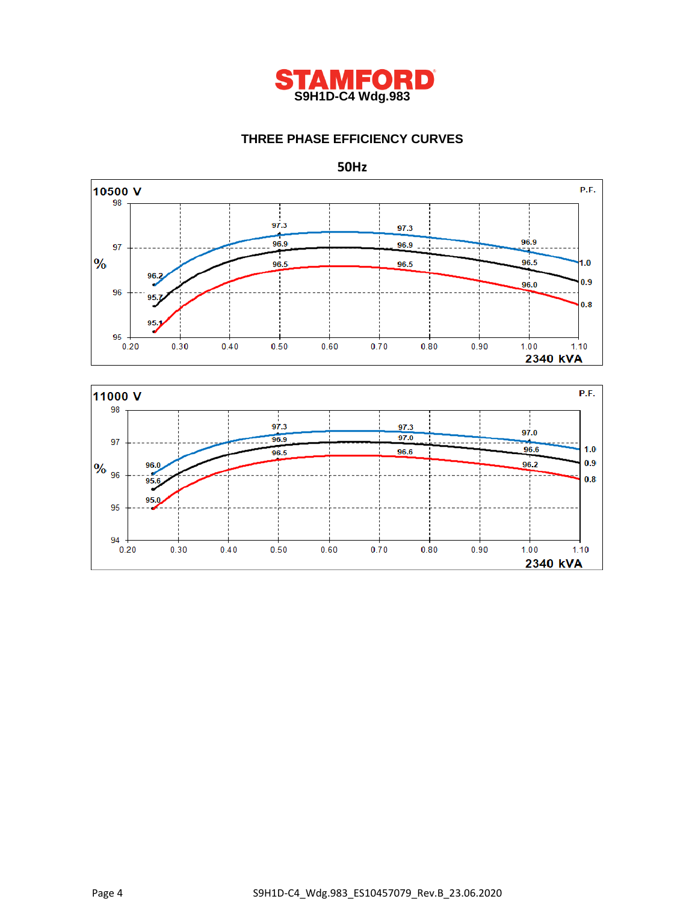

# **THREE PHASE EFFICIENCY CURVES**

**50Hz**



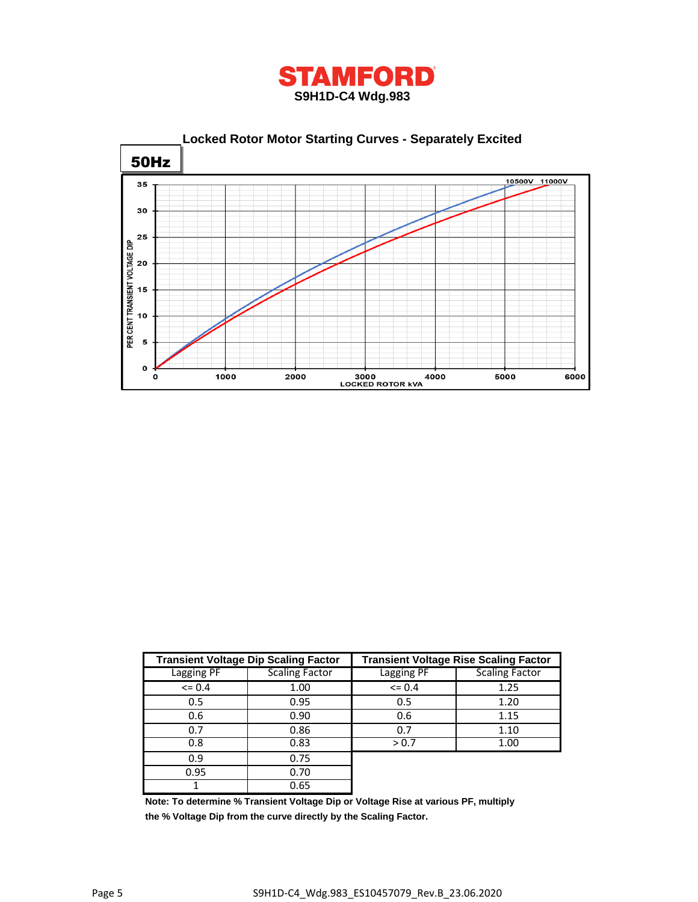



|            | <b>Transient Voltage Dip Scaling Factor</b> | <b>Transient Voltage Rise Scaling Factor</b> |                       |  |  |
|------------|---------------------------------------------|----------------------------------------------|-----------------------|--|--|
| Lagging PF | <b>Scaling Factor</b>                       | Lagging PF                                   | <b>Scaling Factor</b> |  |  |
| $\leq 0.4$ | 1.00                                        | $\leq$ 0.4                                   | 1.25                  |  |  |
| 0.5        | 0.95                                        |                                              | 1.20                  |  |  |
| 0.6        | 0.90                                        | 0.6                                          | 1.15                  |  |  |
| 0.7        | 0.86                                        | 0.7                                          | 1.10                  |  |  |
| 0.8        | 0.83                                        | > 0.7                                        | 1.00                  |  |  |
| 0.9        | 0.75                                        |                                              |                       |  |  |
| 0.95       | 0.70                                        |                                              |                       |  |  |
|            | 0.65                                        |                                              |                       |  |  |

**Note: To determine % Transient Voltage Dip or Voltage Rise at various PF, multiply the % Voltage Dip from the curve directly by the Scaling Factor.**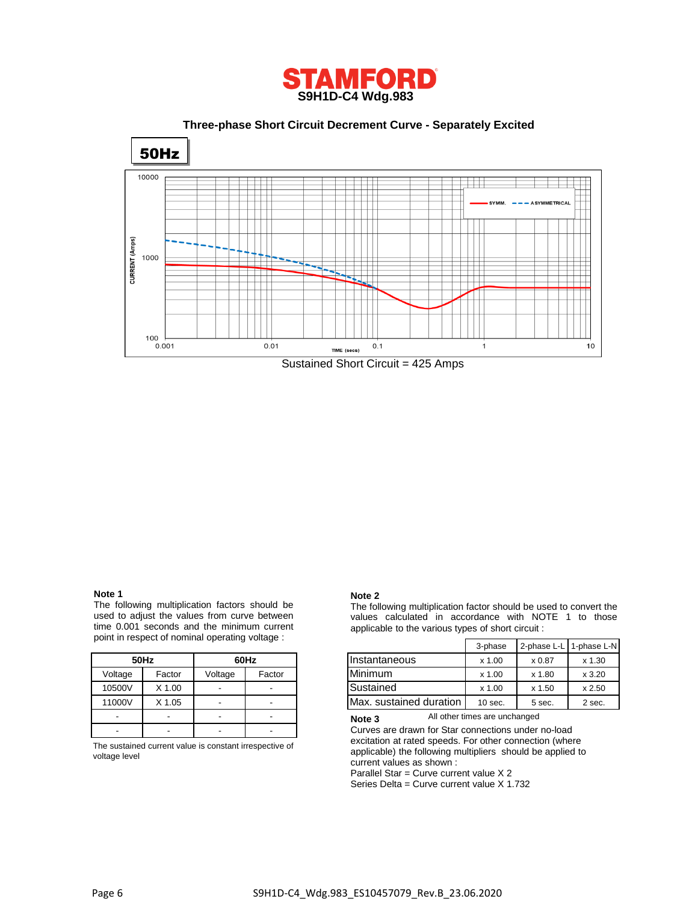

 **Three-phase Short Circuit Decrement Curve - Separately Excited**



#### **Note 1**

The following multiplication factors should be used to adjust the values from curve between time 0.001 seconds and the minimum current point in respect of nominal operating voltage :

|         | 50Hz   | 60Hz    |        |  |
|---------|--------|---------|--------|--|
| Voltage | Factor | Voltage | Factor |  |
| 10500V  | X 1.00 |         |        |  |
| 11000V  | X 1.05 |         |        |  |
|         |        |         |        |  |
|         |        |         |        |  |

The sustained current value is constant irrespective of voltage level

#### **Note 2**

The following multiplication factor should be used to convert the values calculated in accordance with NOTE 1 to those applicable to the various types of short circuit :

|         | int in respect of norminal operating voltage. |         |                          |                         | 3-phase   |          | 2-phase L-L 1-phase L-N |
|---------|-----------------------------------------------|---------|--------------------------|-------------------------|-----------|----------|-------------------------|
|         | 50Hz                                          |         | 60Hz                     | Ilnstantaneous          | x 1.00    | x 0.87   | $x$ 1.30                |
| Voltage | Factor                                        | Voltage | Factor                   | Minimum                 | x 1.00    | x 1.80   | x3.20                   |
| 10500V  | X 1.00                                        |         |                          | Sustained               | x 1.00    | $x$ 1.50 | x 2.50                  |
| 11000V  | X 1.05                                        |         | $\overline{\phantom{0}}$ | Max. sustained duration | $10$ sec. | 5 sec.   | 2 sec.                  |

All other times are unchanged **Note 3**

Curves are drawn for Star connections under no-load excitation at rated speeds. For other connection (where applicable) the following multipliers should be applied to current values as shown :

Parallel Star = Curve current value X 2

Series Delta = Curve current value X 1.732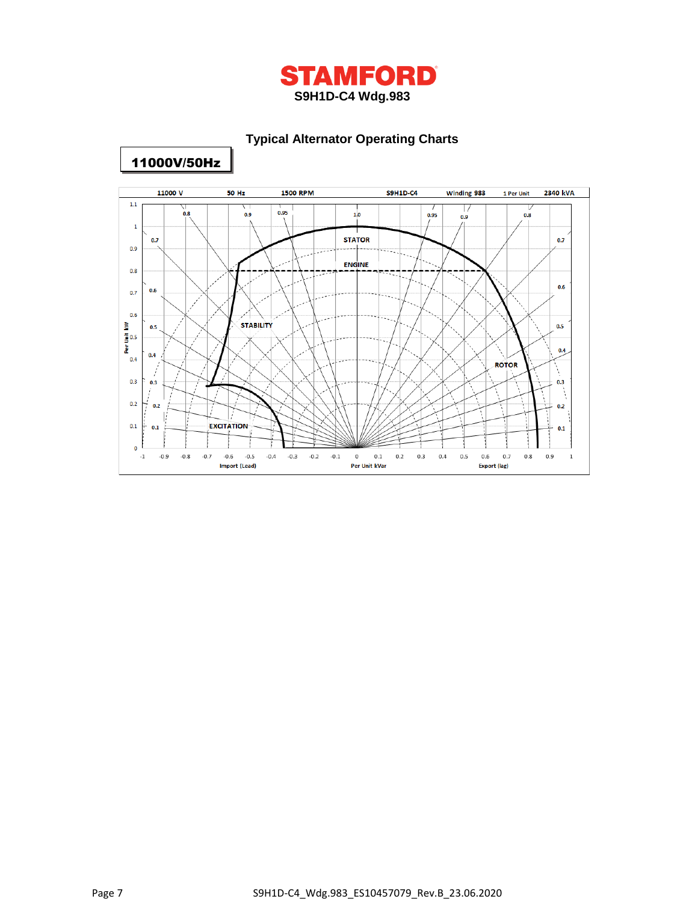

# **Typical Alternator Operating Charts**



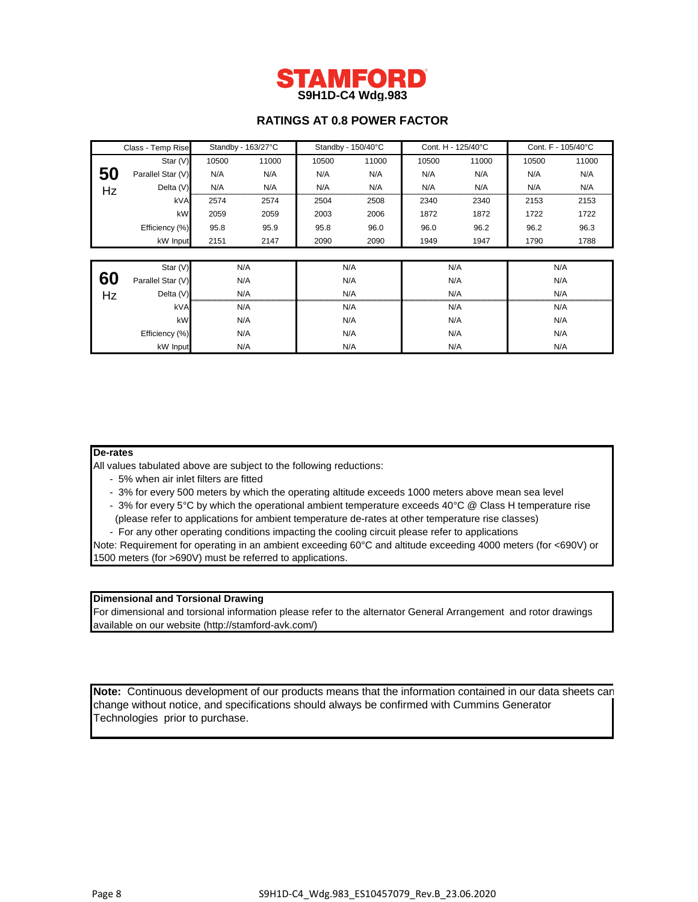

# **RATINGS AT 0.8 POWER FACTOR**

| Standby - 163/27°C<br>Class - Temp Rise |                   | Standby - 150/40°C |       | Cont. H - 125/40°C |       | Cont. F - 105/40°C |       |       |       |  |
|-----------------------------------------|-------------------|--------------------|-------|--------------------|-------|--------------------|-------|-------|-------|--|
|                                         | Star $(V)$        | 10500              | 11000 | 10500              | 11000 | 10500              | 11000 | 10500 | 11000 |  |
| 50                                      | Parallel Star (V) | N/A                | N/A   | N/A                | N/A   | N/A                | N/A   | N/A   | N/A   |  |
| Hz                                      | Delta (V)         | N/A                | N/A   | N/A                | N/A   | N/A                | N/A   | N/A   | N/A   |  |
|                                         | kVA               | 2574               | 2574  | 2504               | 2508  | 2340               | 2340  | 2153  | 2153  |  |
|                                         | kW                | 2059               | 2059  | 2003               | 2006  | 1872               | 1872  | 1722  | 1722  |  |
|                                         | Efficiency (%)    | 95.8               | 95.9  | 95.8               | 96.0  | 96.0               | 96.2  | 96.2  | 96.3  |  |
|                                         | kW Input          | 2151               | 2147  | 2090               | 2090  | 1949               | 1947  | 1790  | 1788  |  |
|                                         |                   |                    |       |                    |       |                    |       |       |       |  |
|                                         | Star $(V)$        | N/A                |       | N/A                |       | N/A                |       |       | N/A   |  |
| 60                                      | Parallel Star (V) |                    | N/A   | N/A                |       | N/A                |       | N/A   |       |  |
| Hz                                      | Delta (V)         |                    | N/A   |                    | N/A   |                    | N/A   |       | N/A   |  |
|                                         | kVA               | N/A                |       | N/A                |       | N/A                |       | N/A   |       |  |
|                                         | kW                | N/A                |       | N/A                |       | N/A                |       | N/A   |       |  |
|                                         | Efficiency (%)    | N/A                |       | N/A                |       | N/A                |       | N/A   |       |  |
|                                         | kW Input          | N/A                |       | N/A                |       | N/A                |       | N/A   |       |  |

### **De-rates**

All values tabulated above are subject to the following reductions:

- 5% when air inlet filters are fitted
- 3% for every 500 meters by which the operating altitude exceeds 1000 meters above mean sea level
- 3% for every 5°C by which the operational ambient temperature exceeds 40°C @ Class H temperature rise (please refer to applications for ambient temperature de-rates at other temperature rise classes)
- For any other operating conditions impacting the cooling circuit please refer to applications

Note: Requirement for operating in an ambient exceeding 60°C and altitude exceeding 4000 meters (for <690V) or 1500 meters (for >690V) must be referred to applications.

## **Dimensional and Torsional Drawing**

For dimensional and torsional information please refer to the alternator General Arrangement and rotor drawings available on our website (http://stamford-avk.com/)

**Note:** Continuous development of our products means that the information contained in our data sheets can change without notice, and specifications should always be confirmed with Cummins Generator Technologies prior to purchase.